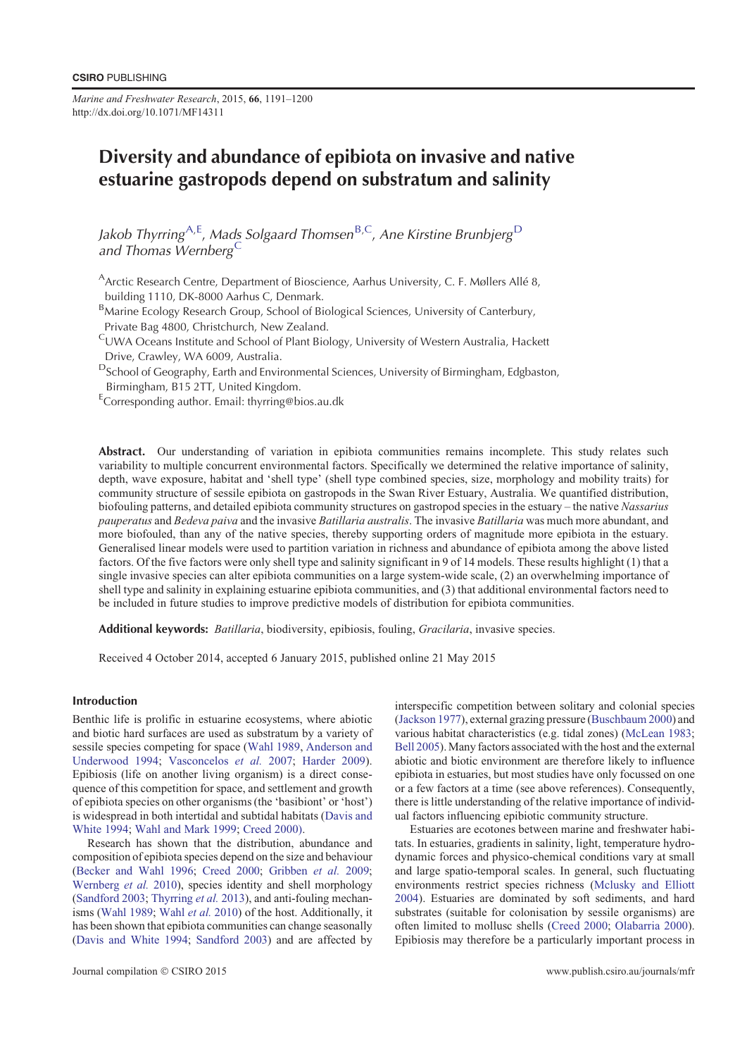*Marine and Freshwater Research*, 2015, **66**, 1191–1200 http://dx.doi.org/10.1071/MF14311

# Diversity and abundance of epibiota on invasive and native estuarine gastropods depend on substratum and salinity

Jakob Thyrring<sup>A,E</sup>, Mads Solgaard Thomsen<sup>B,C</sup>, Ane Kirstine Brunbjerg<sup>D</sup> and Thomas Wernberg  ${}^{\mathsf{C}}$ 

Arctic Research Centre, Department of Bioscience, Aarhus University, C. F. Møllers Allé 8, building 1110, DK-8000 Aarhus C, Denmark.

BMarine Ecology Research Group, School of Biological Sciences, University of Canterbury, Private Bag 4800, Christchurch, New Zealand.

CUWA Oceans Institute and School of Plant Biology, University of Western Australia, Hackett Drive, Crawley, WA 6009, Australia.

DSchool of Geography, Earth and Environmental Sciences, University of Birmingham, Edgbaston, Birmingham, B15 2TT, United Kingdom.

ECorresponding author. Email: thyrring@bios.au.dk

Abstract. Our understanding of variation in epibiota communities remains incomplete. This study relates such variability to multiple concurrent environmental factors. Specifically we determined the relative importance of salinity, depth, wave exposure, habitat and 'shell type' (shell type combined species, size, morphology and mobility traits) for community structure of sessile epibiota on gastropods in the Swan River Estuary, Australia. We quantified distribution, biofouling patterns, and detailed epibiota community structures on gastropod species in the estuary – the native *Nassarius pauperatus* and *Bedeva paiva* and the invasive *Batillaria australis*. The invasive *Batillaria* was much more abundant, and more biofouled, than any of the native species, thereby supporting orders of magnitude more epibiota in the estuary. Generalised linear models were used to partition variation in richness and abundance of epibiota among the above listed factors. Of the five factors were only shell type and salinity significant in 9 of 14 models. These results highlight (1) that a single invasive species can alter epibiota communities on a large system-wide scale, (2) an overwhelming importance of shell type and salinity in explaining estuarine epibiota communities, and (3) that additional environmental factors need to be included in future studies to improve predictive models of distribution for epibiota communities.

Additional keywords: *Batillaria*, biodiversity, epibiosis, fouling, *Gracilaria*, invasive species.

Received 4 October 2014, accepted 6 January 2015, published online 21 May 2015

## Introduction

Benthic life is prolific in estuarine ecosystems, where abiotic and biotic hard surfaces are used as substratum by a variety of sessile species competing for space [\(Wahl 1989](#page-9-0), [Anderson and](#page-8-0) [Underwood 1994](#page-8-0); [Vasconcelos](#page-9-0) *et al.* 2007; [Harder 2009](#page-9-0)). Epibiosis (life on another living organism) is a direct consequence of this competition for space, and settlement and growth of epibiota species on other organisms (the 'basibiont' or 'host') is widespread in both intertidal and subtidal habitats [\(Davis and](#page-9-0) [White 1994](#page-9-0); [Wahl and Mark 1999;](#page-9-0) [Creed 2000\).](#page-9-0)

Research has shown that the distribution, abundance and composition of epibiota species depend on the size and behaviour ([Becker and Wahl 1996](#page-8-0); [Creed 2000](#page-9-0); [Gribben](#page-9-0) *et al.* 2009; [Wernberg](#page-9-0) *et al.* 2010), species identity and shell morphology ([Sandford 2003;](#page-9-0) [Thyrring](#page-9-0) *et al.* 2013), and anti-fouling mechanisms [\(Wahl 1989;](#page-9-0) [Wahl](#page-9-0) *et al.* 2010) of the host. Additionally, it has been shown that epibiota communities can change seasonally ([Davis and White 1994;](#page-9-0) [Sandford 2003](#page-9-0)) and are affected by interspecific competition between solitary and colonial species ([Jackson 1977\)](#page-9-0), external grazing pressure [\(Buschbaum 2000\)](#page-9-0) and various habitat characteristics (e.g. tidal zones) ([McLean 1983](#page-9-0); [Bell 2005\)](#page-8-0). Many factors associated with the host and the external abiotic and biotic environment are therefore likely to influence epibiota in estuaries, but most studies have only focussed on one or a few factors at a time (see above references). Consequently, there is little understanding of the relative importance of individual factors influencing epibiotic community structure.

Estuaries are ecotones between marine and freshwater habitats. In estuaries, gradients in salinity, light, temperature hydrodynamic forces and physico-chemical conditions vary at small and large spatio-temporal scales. In general, such fluctuating environments restrict species richness ([Mclusky and Elliott](#page-9-0) [2004\)](#page-9-0). Estuaries are dominated by soft sediments, and hard substrates (suitable for colonisation by sessile organisms) are often limited to mollusc shells ([Creed 2000](#page-9-0); [Olabarria 2000](#page-9-0)). Epibiosis may therefore be a particularly important process in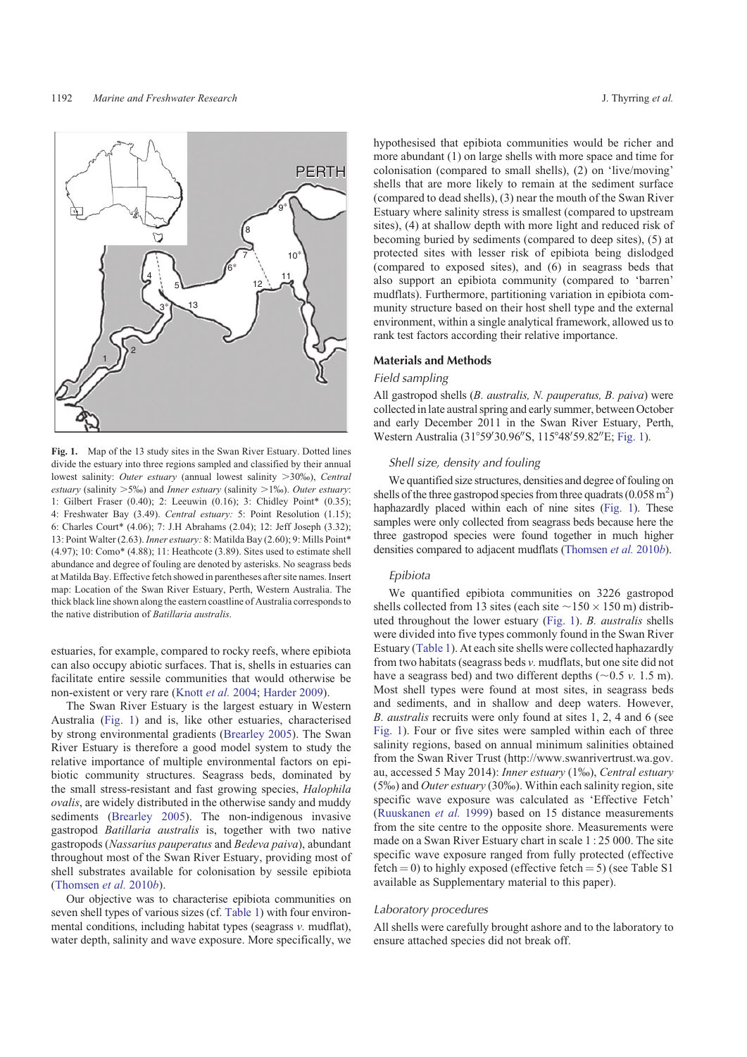

**Fig. 1.** Map of the 13 study sites in the Swan River Estuary. Dotted lines divide the estuary into three regions sampled and classified by their annual lowest salinity: *Outer estuary* (annual lowest salinity >30%), *Central estuary* (salinity  $>5\%$ ) and *Inner estuary* (salinity  $>1\%$ ). *Outer estuary*: 1: Gilbert Fraser (0.40); 2: Leeuwin (0.16); 3: Chidley Point\* (0.35); 4: Freshwater Bay (3.49). *Central estuary:* 5: Point Resolution (1.15); 6: Charles Court\* (4.06); 7: J.H Abrahams (2.04); 12: Jeff Joseph (3.32); 13: Point Walter (2.63). *Inner estuary:* 8: Matilda Bay (2.60); 9: Mills Point\* (4.97); 10: Como\* (4.88); 11: Heathcote (3.89). Sites used to estimate shell abundance and degree of fouling are denoted by asterisks. No seagrass beds at Matilda Bay. Effective fetch showed in parentheses after site names. Insert map: Location of the Swan River Estuary, Perth, Western Australia. The thick black line shown along the eastern coastline of Australia corresponds to the native distribution of *Batillaria australis*.

estuaries, for example, compared to rocky reefs, where epibiota can also occupy abiotic surfaces. That is, shells in estuaries can facilitate entire sessile communities that would otherwise be non-existent or very rare [\(Knott](#page-9-0) *et al.* 2004; [Harder 2009\)](#page-9-0).

The Swan River Estuary is the largest estuary in Western Australia (Fig. 1) and is, like other estuaries, characterised by strong environmental gradients [\(Brearley 2005\)](#page-8-0). The Swan River Estuary is therefore a good model system to study the relative importance of multiple environmental factors on epibiotic community structures. Seagrass beds, dominated by the small stress-resistant and fast growing species, *Halophila ovalis*, are widely distributed in the otherwise sandy and muddy sediments [\(Brearley 2005\)](#page-8-0). The non-indigenous invasive gastropod *Batillaria australis* is, together with two native gastropods (*Nassarius pauperatus* and *Bedeva paiva*), abundant throughout most of the Swan River Estuary, providing most of shell substrates available for colonisation by sessile epibiota ([Thomsen](#page-9-0) *et al.* 2010*b*).

Our objective was to characterise epibiota communities on seven shell types of various sizes (cf. [Table 1](#page-2-0)) with four environmental conditions, including habitat types (seagrass *v.* mudflat), water depth, salinity and wave exposure. More specifically, we

hypothesised that epibiota communities would be richer and more abundant (1) on large shells with more space and time for colonisation (compared to small shells), (2) on 'live/moving' shells that are more likely to remain at the sediment surface (compared to dead shells), (3) near the mouth of the Swan River Estuary where salinity stress is smallest (compared to upstream sites), (4) at shallow depth with more light and reduced risk of becoming buried by sediments (compared to deep sites), (5) at protected sites with lesser risk of epibiota being dislodged (compared to exposed sites), and (6) in seagrass beds that also support an epibiota community (compared to 'barren' mudflats). Furthermore, partitioning variation in epibiota community structure based on their host shell type and the external environment, within a single analytical framework, allowed us to rank test factors according their relative importance.

#### Materials and Methods

#### Field sampling

All gastropod shells (*B. australis, N. pauperatus, B. paiva*) were collected inlate austral spring and early summer, between October and early December 2011 in the Swan River Estuary, Perth, Western Australia (31°59'30.96"S, 115°48'59.82"E; Fig. 1).

### Shell size, density and fouling

We quantified size structures, densities and degree of fouling on shells of the three gastropod species from three quadrats  $(0.058 \text{ m}^2)$ haphazardly placed within each of nine sites (Fig. 1). These samples were only collected from seagrass beds because here the three gastropod species were found together in much higher densities compared to adjacent mudflats [\(Thomsen](#page-9-0) *et al.* 2010*b*).

## Epibiota

We quantified epibiota communities on 3226 gastropod shells collected from 13 sites (each site  $\sim$  150  $\times$  150 m) distributed throughout the lower estuary (Fig. 1). *B. australis* shells were divided into five types commonly found in the Swan River Estuary ([Table 1\)](#page-2-0). At each site shells were collected haphazardly from two habitats (seagrass beds *v.* mudflats, but one site did not have a seagrass bed) and two different depths  $(\sim 0.5 \, \nu. \, 1.5 \, \text{m})$ . Most shell types were found at most sites, in seagrass beds and sediments, and in shallow and deep waters. However, *B. australis* recruits were only found at sites 1, 2, 4 and 6 (see Fig. 1). Four or five sites were sampled within each of three salinity regions, based on annual minimum salinities obtained from the Swan River Trust ([http://www.swanrivertrust.wa.gov.](http://www.swanrivertrust.wa.gov.au) [au,](http://www.swanrivertrust.wa.gov.au) accessed 5 May 2014): *Inner estuary* (1%), *Central estuary* (5%) and *Outer estuary* (30%). Within each salinity region, site specific wave exposure was calculated as 'Effective Fetch' [\(Ruuskanen](#page-9-0) *et al.* 1999) based on 15 distance measurements from the site centre to the opposite shore. Measurements were made on a Swan River Estuary chart in scale 1 : 25 000. The site specific wave exposure ranged from fully protected (effective fetch = 0) to highly exposed (effective fetch = 5) (see Table S1 available as Supplementary material to this paper).

## Laboratory procedures

All shells were carefully brought ashore and to the laboratory to ensure attached species did not break off.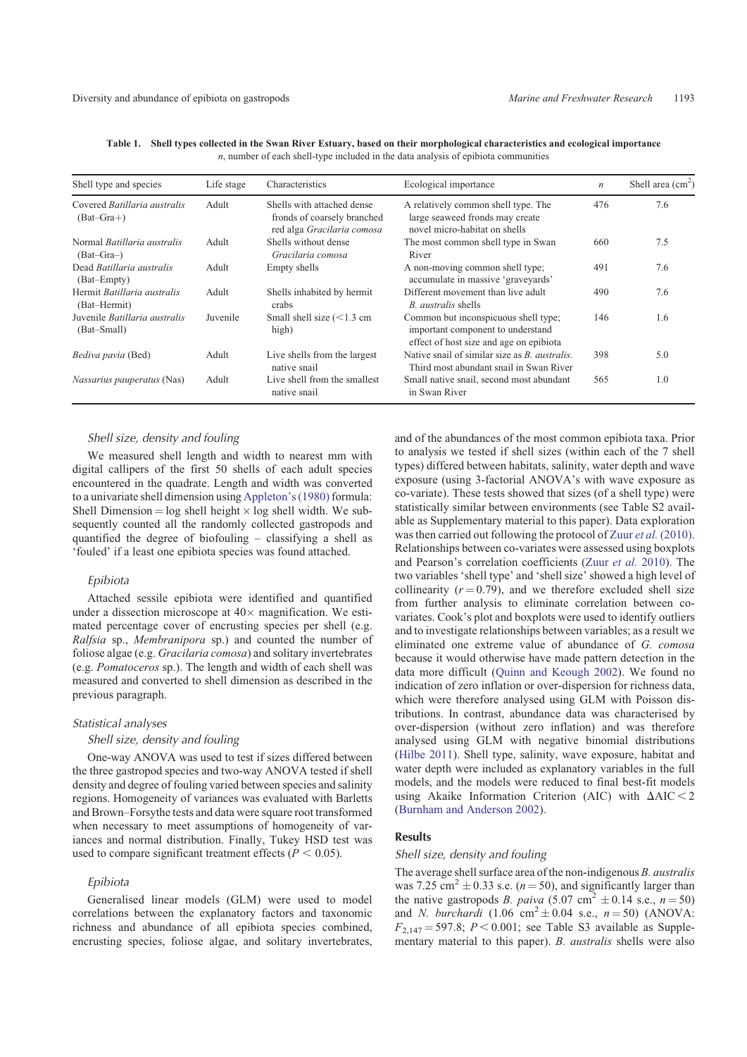| Shell type and species                              | Life stage | Characteristics                                                                         | Ecological importance                                                                                                | $\boldsymbol{n}$ | Shell area $(cm2)$ |
|-----------------------------------------------------|------------|-----------------------------------------------------------------------------------------|----------------------------------------------------------------------------------------------------------------------|------------------|--------------------|
| Covered Batillaria australis<br>$(Bat-Gra+)$        | Adult      | Shells with attached dense<br>fronds of coarsely branched<br>red alga Gracilaria comosa | A relatively common shell type. The<br>large seaweed fronds may create<br>novel micro-habitat on shells              | 476              | 7.6                |
| Normal <i>Batillaria australis</i><br>$(Bat-Gra-)$  | Adult      | Shells without dense<br>Gracilaria comosa                                               | The most common shell type in Swan<br>River                                                                          | 660              | 7.5                |
| Dead Batillaria australis<br>(Bat-Empty)            | Adult      | Empty shells                                                                            | A non-moving common shell type;<br>accumulate in massive 'graveyards'                                                | 491              | 7.6                |
| Hermit Batillaria australis<br>(Bat-Hermit)         | Adult      | Shells inhabited by hermit<br>crabs                                                     | Different movement than live adult<br>B. <i>australis</i> shells                                                     | 490              | 7.6                |
| Juvenile <i>Batillaria australis</i><br>(Bat-Small) | Juvenile   | Small shell size $(<1.3$ cm<br>high)                                                    | Common but inconspicuous shell type;<br>important component to understand<br>effect of host size and age on epibiota | 146              | 1.6                |
| Bediva pavia (Bed)                                  | Adult      | Live shells from the largest<br>native snail                                            | Native snail of similar size as <i>B. australis.</i><br>Third most abundant snail in Swan River                      | 398              | 5.0                |
| Nassarius pauperatus (Nas)                          | Adult      | Live shell from the smallest<br>native snail                                            | Small native snail, second most abundant<br>in Swan River                                                            | 565              | 1.0                |

<span id="page-2-0"></span>**Table 1. Shell types collected in the Swan River Estuary, based on their morphological characteristics and ecological importance** *n*, number of each shell-type included in the data analysis of epibiota communities

# Shell size, density and fouling

We measured shell length and width to nearest mm with digital callipers of the first 50 shells of each adult species encountered in the quadrate. Length and width was converted to a univariate shell dimension using [Appleton's \(1980\)](#page-8-0) formula: Shell Dimension =  $log$  shell height  $\times$  log shell width. We subsequently counted all the randomly collected gastropods and quantified the degree of biofouling – classifying a shell as 'fouled' if a least one epibiota species was found attached.

#### Epibiota

Attached sessile epibiota were identified and quantified under a dissection microscope at  $40 \times$  magnification. We estimated percentage cover of encrusting species per shell (e.g. *Ralfsia* sp., *Membranipora* sp.) and counted the number of foliose algae (e.g. *Gracilaria comosa*) and solitary invertebrates (e.g. *Pomatoceros* sp.). The length and width of each shell was measured and converted to shell dimension as described in the previous paragraph.

## Statistical analyses

## Shell size, density and fouling

One-way ANOVA was used to test if sizes differed between the three gastropod species and two-way ANOVA tested if shell density and degree of fouling varied between species and salinity regions. Homogeneity of variances was evaluated with Barletts and Brown–Forsythe tests and data were square root transformed when necessary to meet assumptions of homogeneity of variances and normal distribution. Finally, Tukey HSD test was used to compare significant treatment effects  $(P < 0.05)$ .

#### Epibiota

Generalised linear models (GLM) were used to model correlations between the explanatory factors and taxonomic richness and abundance of all epibiota species combined, encrusting species, foliose algae, and solitary invertebrates, and of the abundances of the most common epibiota taxa. Prior to analysis we tested if shell sizes (within each of the 7 shell types) differed between habitats, salinity, water depth and wave exposure (using 3-factorial ANOVA's with wave exposure as co-variate). These tests showed that sizes (of a shell type) were statistically similar between environments (see Table S2 available as Supplementary material to this paper). Data exploration was then carried out following the protocol of Zuur *et al.* [\(2010\).](#page-9-0) Relationships between co-variates were assessed using boxplots and Pearson's correlation coefficients (Zuur *[et al.](#page-9-0)* 2010). The two variables 'shell type' and 'shell size' showed a high level of collinearity  $(r = 0.79)$ , and we therefore excluded shell size from further analysis to eliminate correlation between covariates. Cook's plot and boxplots were used to identify outliers and to investigate relationships between variables; as a result we eliminated one extreme value of abundance of *G. comosa* because it would otherwise have made pattern detection in the data more difficult [\(Quinn and Keough 2002](#page-9-0)). We found no indication of zero inflation or over-dispersion for richness data, which were therefore analysed using GLM with Poisson distributions. In contrast, abundance data was characterised by over-dispersion (without zero inflation) and was therefore analysed using GLM with negative binomial distributions ([Hilbe 2011](#page-9-0)). Shell type, salinity, wave exposure, habitat and water depth were included as explanatory variables in the full models, and the models were reduced to final best-fit models using Akaike Information Criterion (AIC) with  $\Delta AIC < 2$ ([Burnham and Anderson 2002](#page-9-0)).

## Results

# Shell size, density and fouling

The average shell surface area of the non-indigenous *B. australis* was 7.25 cm<sup>2</sup>  $\pm$  0.33 s.e. (*n* = 50), and significantly larger than the native gastropods *B. paiva* (5.07 cm<sup>2</sup>  $\pm$  0.14 s.e., *n* = 50) and *N. burchardi*  $(1.06 \text{ cm}^2 \pm 0.04 \text{ s.e., } n = 50)$  (ANOVA:  $F_{2,147} = 597.8$ ;  $P < 0.001$ ; see Table S3 available as Supplementary material to this paper). *B. australis* shells were also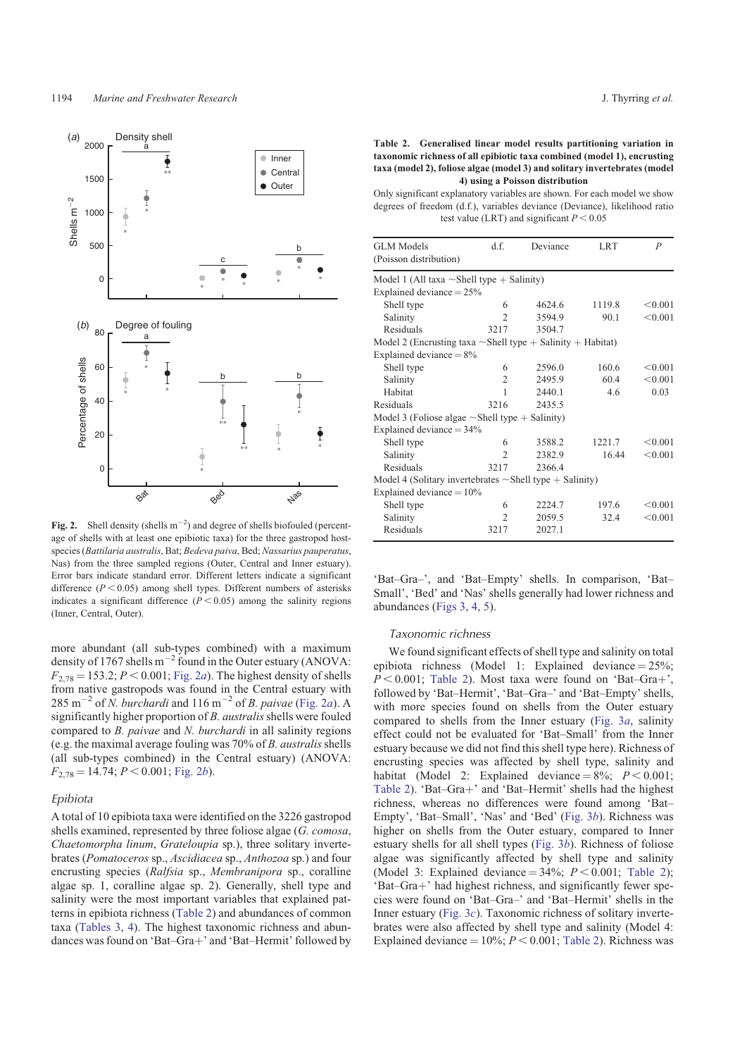

**Fig. 2.** Shell density (shells  $m^{-2}$ ) and degree of shells biofouled (percentage of shells with at least one epibiotic taxa) for the three gastropod hostspecies (*Battilaria australis*, Bat; *Bedeva paiva*, Bed; *Nassarius pauperatus*, Nas) from the three sampled regions (Outer, Central and Inner estuary). Error bars indicate standard error. Different letters indicate a significant difference  $(P < 0.05)$  among shell types. Different numbers of asterisks indicates a significant difference  $(P < 0.05)$  among the salinity regions (Inner, Central, Outer).

more abundant (all sub-types combined) with a maximum density of 1767 shells  $m^{-2}$  found in the Outer estuary (ANOVA:  $F_{2,78} = 153.2$ ;  $P < 0.001$ ; Fig. 2*a*). The highest density of shells from native gastropods was found in the Central estuary with  $285 \text{ m}^{-2}$  of *N. burchardi* and  $116 \text{ m}^{-2}$  of *B. paivae* (Fig. 2*a*). A significantly higher proportion of *B. australis*shells were fouled compared to *B. paivae* and *N. burchardi* in all salinity regions (e.g. the maximal average fouling was 70% of *B. australis*shells (all sub-types combined) in the Central estuary) (ANOVA:  $F_{2.78} = 14.74$ ;  $P < 0.001$ ; Fig. 2*b*).

#### Epibiota

A total of 10 epibiota taxa were identified on the 3226 gastropod shells examined, represented by three foliose algae (*G. comosa*, *Chaetomorpha linum*, *Grateloupia* sp.), three solitary invertebrates (*Pomatoceros* sp., *Ascidiacea* sp., *Anthozoa* sp.) and four encrusting species (*Ralfsia* sp., *Membranipora* sp., coralline algae sp. 1, coralline algae sp. 2). Generally, shell type and salinity were the most important variables that explained patterns in epibiota richness (Table 2) and abundances of common taxa [\(Tables 3](#page-4-0), [4\)](#page-4-0). The highest taxonomic richness and abundances was found on 'Bat-Gra+' and 'Bat-Hermit' followed by

**Table 2. Generalised linear model results partitioning variation in taxonomic richness of all epibiotic taxa combined (model 1), encrusting taxa (model 2), foliose algae (model 3) and solitary invertebrates (model 4) using a Poisson distribution**

Only significant explanatory variables are shown. For each model we show degrees of freedom (d.f.), variables deviance (Deviance), likelihood ratio test value (LRT) and significant  $P < 0.05$ 

| <b>GLM</b> Models                                                | d.f.           | Deviance | <b>LRT</b> | $\overline{P}$ |
|------------------------------------------------------------------|----------------|----------|------------|----------------|
| (Poisson distribution)                                           |                |          |            |                |
| Model 1 (All taxa $\sim$ Shell type + Salinity)                  |                |          |            |                |
| Explained deviance $= 25\%$                                      |                |          |            |                |
| Shell type                                                       | 6              | 4624.6   | 1119.8     | < 0.001        |
| Salinity                                                         | $\mathfrak{D}$ | 3594.9   | 90.1       | < 0.001        |
| Residuals                                                        | 3217           | 3504.7   |            |                |
| Model 2 (Encrusting taxa $\sim$ Shell type + Salinity + Habitat) |                |          |            |                |
| Explained deviance $= 8\%$                                       |                |          |            |                |
| Shell type                                                       | 6              | 2596.0   | 160.6      | < 0.001        |
| Salinity                                                         | $\mathfrak{D}$ | 2495.9   | 604        | < 0.001        |
| Habitat                                                          | 1              | 2440.1   | 46         | 0.03           |
| Residuals                                                        | 3216           | 2435.5   |            |                |
| Model 3 (Foliose algae $\sim$ Shell type $+$ Salinity)           |                |          |            |                |
| Explained deviance $=$ 34%                                       |                |          |            |                |
| Shell type                                                       | 6              | 3588.2   | 1221.7     | < 0.001        |
| Salinity                                                         | $\mathfrak{D}$ | 2382.9   | 16.44      | < 0.001        |
| Residuals                                                        | 3217           | 2366.4   |            |                |
| Model 4 (Solitary invertebrates $\sim$ Shell type $+$ Salinity)  |                |          |            |                |
| Explained deviance $= 10\%$                                      |                |          |            |                |
| Shell type                                                       | 6              | 2224.7   | 197.6      | < 0.001        |
| Salinity                                                         | $\mathfrak{D}$ | 2059.5   | 32.4       | < 0.001        |
| Residuals                                                        | 3217           | 2027.1   |            |                |

'Bat–Gra–', and 'Bat–Empty' shells. In comparison, 'Bat– Small', 'Bed' and 'Nas' shells generally had lower richness and abundances ([Figs 3](#page-5-0), [4,](#page-6-0) [5](#page-7-0)).

#### Taxonomic richness

We found significant effects of shell type and salinity on total epibiota richness (Model 1: Explained deviance  $= 25\%$ ;  $P < 0.001$ ; Table 2). Most taxa were found on 'Bat–Gra+', followed by 'Bat–Hermit', 'Bat–Gra–' and 'Bat–Empty' shells, with more species found on shells from the Outer estuary compared to shells from the Inner estuary ([Fig. 3](#page-5-0)*a*, salinity effect could not be evaluated for 'Bat–Small' from the Inner estuary because we did not find this shell type here). Richness of encrusting species was affected by shell type, salinity and habitat (Model 2: Explained deviance =  $8\%$ ;  $P < 0.001$ ; Table 2). 'Bat–Gra+' and 'Bat–Hermit' shells had the highest richness, whereas no differences were found among 'Bat– Empty', 'Bat–Small', 'Nas' and 'Bed' [\(Fig. 3](#page-5-0)*b*). Richness was higher on shells from the Outer estuary, compared to Inner estuary shells for all shell types ([Fig. 3](#page-5-0)*b*). Richness of foliose algae was significantly affected by shell type and salinity (Model 3: Explained deviance =  $34\%$ ;  $P < 0.001$ ; Table 2); 'Bat-Gra+' had highest richness, and significantly fewer species were found on 'Bat–Gra–' and 'Bat–Hermit' shells in the Inner estuary [\(Fig. 3](#page-5-0)*c*). Taxonomic richness of solitary invertebrates were also affected by shell type and salinity (Model 4: Explained deviance  $= 10\%$ ;  $P < 0.001$ ; Table 2). Richness was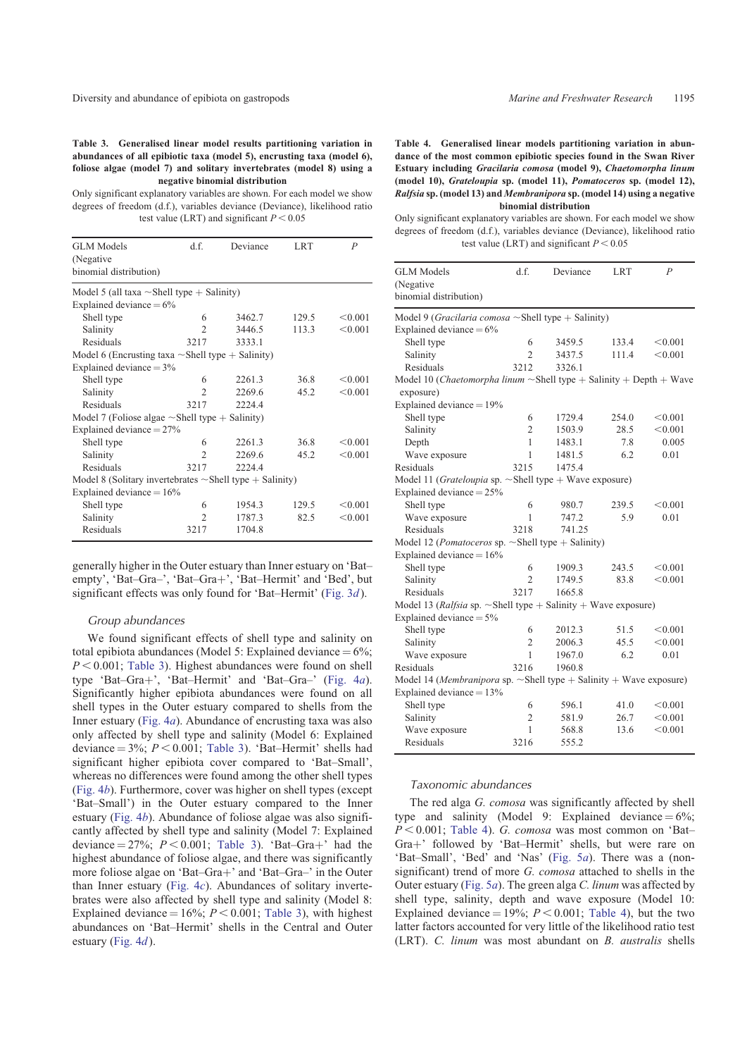<span id="page-4-0"></span>**Table 3. Generalised linear model results partitioning variation in abundances of all epibiotic taxa (model 5), encrusting taxa (model 6), foliose algae (model 7) and solitary invertebrates (model 8) using a negative binomial distribution**

Only significant explanatory variables are shown. For each model we show degrees of freedom (d.f.), variables deviance (Deviance), likelihood ratio test value (LRT) and significant  $P < 0.05$ 

| <b>GLM</b> Models                                               | d.f.           | Deviance | <b>LRT</b> | $\overline{P}$ |
|-----------------------------------------------------------------|----------------|----------|------------|----------------|
| (Negative)                                                      |                |          |            |                |
| binomial distribution)                                          |                |          |            |                |
| Model 5 (all taxa $\sim$ Shell type $+$ Salinity)               |                |          |            |                |
| Explained deviance $= 6\%$                                      |                |          |            |                |
| Shell type                                                      | 6              | 3462.7   | 129.5      | < 0.001        |
| Salinity                                                        | $\mathfrak{D}$ | 3446.5   | 113.3      | < 0.001        |
| Residuals                                                       | 3217           | 3333.1   |            |                |
| Model 6 (Encrusting taxa $\sim$ Shell type $+$ Salinity)        |                |          |            |                |
| Explained deviance $=$ 3%                                       |                |          |            |                |
| Shell type                                                      | 6              | 2261.3   | 36.8       | < 0.001        |
| Salinity                                                        | $\overline{c}$ | 2269.6   | 45.2       | < 0.001        |
| Residuals                                                       | 3217           | 2224.4   |            |                |
| Model 7 (Foliose algae $\sim$ Shell type $+$ Salinity)          |                |          |            |                |
| Explained deviance $=$ 27%                                      |                |          |            |                |
| Shell type                                                      | 6              | 2261.3   | 36.8       | < 0.001        |
| Salinity                                                        | $\mathfrak{D}$ | 2269.6   | 45.2       | < 0.001        |
| Residuals                                                       | 3217           | 2224.4   |            |                |
| Model 8 (Solitary invertebrates $\sim$ Shell type $+$ Salinity) |                |          |            |                |
| Explained deviance $= 16\%$                                     |                |          |            |                |
| Shell type                                                      | 6              | 1954.3   | 129.5      | < 0.001        |
| Salinity                                                        | $\mathcal{D}$  | 1787.3   | 82.5       | < 0.001        |
| Residuals                                                       | 3217           | 1704.8   |            |                |

generally higher in the Outer estuary than Inner estuary on 'Bat– empty', 'Bat-Gra-', 'Bat-Gra+', 'Bat-Hermit' and 'Bed', but significant effects was only found for 'Bat–Hermit' [\(Fig. 3](#page-5-0)*d*).

#### Group abundances

We found significant effects of shell type and salinity on total epibiota abundances (Model 5: Explained deviance  $= 6\%$ ;  $P \le 0.001$ ; Table 3). Highest abundances were found on shell type 'Bat–Gra+', 'Bat–Hermit' and 'Bat–Gra–' [\(Fig. 4](#page-6-0)*a*). Significantly higher epibiota abundances were found on all shell types in the Outer estuary compared to shells from the Inner estuary [\(Fig. 4](#page-6-0)*a*). Abundance of encrusting taxa was also only affected by shell type and salinity (Model 6: Explained deviance  $= 3\%$ ;  $P < 0.001$ ; Table 3). 'Bat–Hermit' shells had significant higher epibiota cover compared to 'Bat–Small', whereas no differences were found among the other shell types ([Fig. 4](#page-6-0)*b*). Furthermore, cover was higher on shell types (except 'Bat–Small') in the Outer estuary compared to the Inner estuary [\(Fig. 4](#page-6-0)*b*). Abundance of foliose algae was also significantly affected by shell type and salinity (Model 7: Explained deviance  $= 27\%$ ;  $P < 0.001$ ; Table 3). 'Bat–Gra+' had the highest abundance of foliose algae, and there was significantly more foliose algae on 'Bat–Gra+' and 'Bat–Gra–' in the Outer than Inner estuary ([Fig. 4](#page-6-0)*c*). Abundances of solitary invertebrates were also affected by shell type and salinity (Model 8: Explained deviance =  $16\%$ ;  $P < 0.001$ ; Table 3), with highest abundances on 'Bat–Hermit' shells in the Central and Outer estuary ([Fig. 4](#page-6-0)*d*).

**Table 4. Generalised linear models partitioning variation in abundance of the most common epibiotic species found in the Swan River Estuary including Gracilaria comosa (model 9), Chaetomorpha linum (model 10), Grateloupia sp. (model 11), Pomatoceros sp. (model 12), Ralfsia sp. (model 13) and Membranipora sp. (model 14) using a negative binomial distribution**

Only significant explanatory variables are shown. For each model we show degrees of freedom (d.f.), variables deviance (Deviance), likelihood ratio test value (LRT) and significant  $P < 0.05$ 

| <b>GLM</b> Models                                                           | d.f.           | Deviance | <b>LRT</b> | $\overline{P}$ |
|-----------------------------------------------------------------------------|----------------|----------|------------|----------------|
| (Negative                                                                   |                |          |            |                |
| binomial distribution)                                                      |                |          |            |                |
| Model 9 ( <i>Gracilaria comosa</i> $\sim$ Shell type + Salinity)            |                |          |            |                |
| Explained deviance $= 6\%$                                                  |                |          |            |                |
| Shell type                                                                  | 6              | 3459.5   | 133.4      | < 0.001        |
| Salinity                                                                    | $\mathfrak{D}$ | 3437.5   | 111.4      | < 0.001        |
| Residuals                                                                   | 3212           | 3326.1   |            |                |
| Model 10 (Chaetomorpha linum $\sim$ Shell type + Salinity + Depth + Wave    |                |          |            |                |
| exposure)                                                                   |                |          |            |                |
| Explained deviance $= 19\%$                                                 |                |          |            |                |
| Shell type                                                                  | 6              | 1729.4   | 254.0      | $< \!\! 0.001$ |
| Salinity                                                                    | $\overline{2}$ | 1503.9   | 28.5       | < 0.001        |
| Depth                                                                       | 1              | 1483.1   | 7.8        | 0.005          |
| Wave exposure                                                               | 1              | 1481.5   | 6.2        | 0.01           |
| Residuals                                                                   | 3215           | 1475.4   |            |                |
| Model 11 (Grateloupia sp. $\sim$ Shell type + Wave exposure)                |                |          |            |                |
| Explained deviance $=$ 25%                                                  |                |          |            |                |
| Shell type                                                                  | 6              | 980.7    | 239.5      | < 0.001        |
| Wave exposure                                                               | 1              | 747.2    | 5.9        | 0.01           |
| Residuals                                                                   | 3218           | 741.25   |            |                |
| Model 12 ( <i>Pomatoceros</i> sp. $\sim$ Shell type + Salinity)             |                |          |            |                |
| Explained deviance $= 16\%$                                                 |                |          |            |                |
| Shell type                                                                  | 6              | 1909.3   | 243.5      | < 0.001        |
| Salinity                                                                    | $\mathfrak{D}$ | 1749.5   | 83.8       | < 0.001        |
| Residuals                                                                   | 3217           | 1665.8   |            |                |
| Model 13 ( <i>Ralfsia</i> sp. $\sim$ Shell type + Salinity + Wave exposure) |                |          |            |                |
| Explained deviance $= 5\%$                                                  |                |          |            |                |
| Shell type                                                                  | 6              | 2012.3   | 51.5       | < 0.001        |
| Salinity                                                                    | $\overline{c}$ | 2006.3   | 45.5       | < 0.001        |
| Wave exposure                                                               | 1              | 1967.0   | 6.2        | 0.01           |
| Residuals                                                                   | 3216           | 1960.8   |            |                |
| Model 14 (Membranipora sp. $\sim$ Shell type + Salinity + Wave exposure)    |                |          |            |                |
| Explained deviance $= 13\%$                                                 |                |          |            |                |
| Shell type                                                                  | 6              | 596.1    | 41.0       | < 0.001        |
| Salinity                                                                    | $\overline{2}$ | 581.9    | 26.7       | < 0.001        |
| Wave exposure                                                               | 1              | 568.8    | 13.6       | < 0.001        |
| Residuals                                                                   | 3216           | 555.2    |            |                |

#### Taxonomic abundances

The red alga *G. comosa* was significantly affected by shell type and salinity (Model 9: Explained deviance  $= 6\%$ ;  $P < 0.001$ ; Table 4). *G. comosa* was most common on 'Bat– Gra+' followed by 'Bat-Hermit' shells, but were rare on 'Bat–Small', 'Bed' and 'Nas' ([Fig. 5](#page-7-0)*a*). There was a (nonsignificant) trend of more *G. comosa* attached to shells in the Outer estuary ([Fig. 5](#page-7-0)*a*). The green alga *C. linum* was affected by shell type, salinity, depth and wave exposure (Model 10: Explained deviance =  $19\%$ ;  $P < 0.001$ ; Table 4), but the two latter factors accounted for very little of the likelihood ratio test (LRT). *C. linum* was most abundant on *B. australis* shells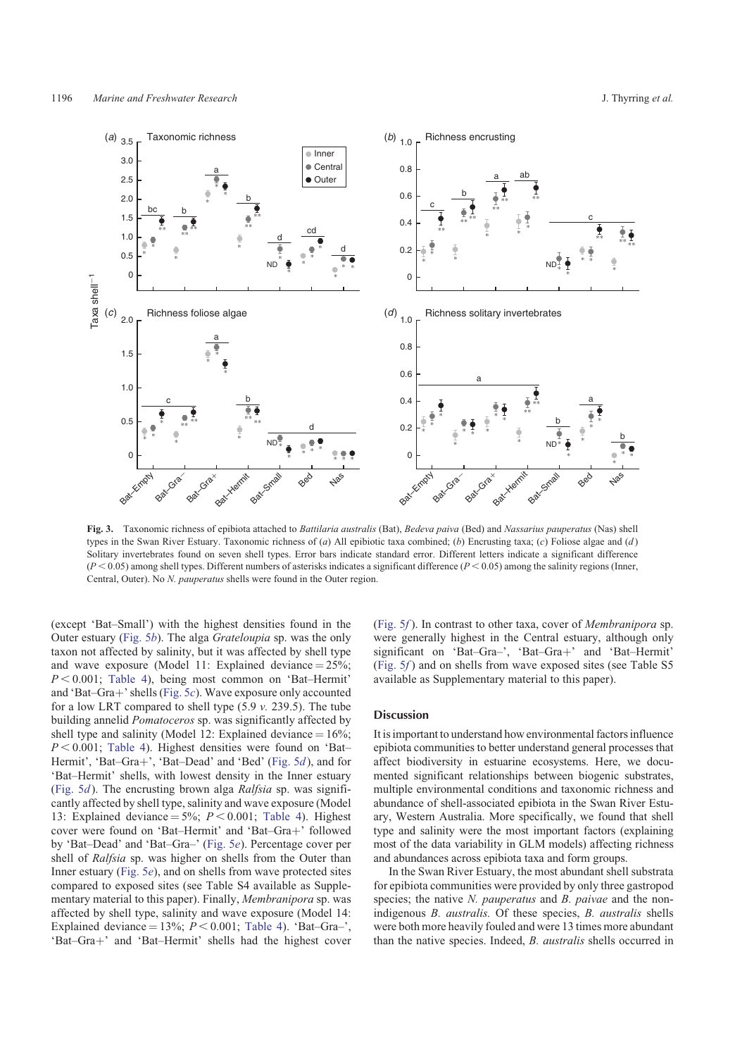<span id="page-5-0"></span>

**Fig. 3.** Taxonomic richness of epibiota attached to *Battilaria australis* (Bat), *Bedeva paiva* (Bed) and *Nassarius pauperatus* (Nas) shell types in the Swan River Estuary. Taxonomic richness of (*a*) All epibiotic taxa combined; (*b*) Encrusting taxa; (*c*) Foliose algae and (*d* ) Solitary invertebrates found on seven shell types. Error bars indicate standard error. Different letters indicate a significant difference  $(P < 0.05)$  among shell types. Different numbers of asterisks indicates a significant difference  $(P < 0.05)$  among the salinity regions (Inner, Central, Outer). No *N. pauperatus* shells were found in the Outer region.

(except 'Bat–Small') with the highest densities found in the Outer estuary [\(Fig. 5](#page-7-0)*b*). The alga *Grateloupia* sp. was the only taxon not affected by salinity, but it was affected by shell type and wave exposure (Model 11: Explained deviance  $= 25\%$ ;  $P < 0.001$ ; [Table 4](#page-4-0)), being most common on 'Bat–Hermit' and 'Bat–Gra+' shells [\(Fig. 5](#page-7-0)*c*). Wave exposure only accounted for a low LRT compared to shell type (5.9 *v.* 239.5). The tube building annelid *Pomatoceros* sp. was significantly affected by shell type and salinity (Model 12: Explained deviance  $= 16\%$ ;  $P < 0.001$ ; [Table 4](#page-4-0)). Highest densities were found on 'Bat– Hermit', 'Bat–Gra+', 'Bat–Dead' and 'Bed' ([Fig. 5](#page-7-0)d), and for 'Bat–Hermit' shells, with lowest density in the Inner estuary ([Fig. 5](#page-7-0)*d*). The encrusting brown alga *Ralfsia* sp. was significantly affected by shell type, salinity and wave exposure (Model 13: Explained deviance  $= 5\%$ ;  $P < 0.001$ ; [Table 4](#page-4-0)). Highest cover were found on 'Bat-Hermit' and 'Bat-Gra+' followed by 'Bat–Dead' and 'Bat–Gra–' [\(Fig. 5](#page-7-0)*e*). Percentage cover per shell of *Ralfsia* sp. was higher on shells from the Outer than Inner estuary [\(Fig. 5](#page-7-0)*e*), and on shells from wave protected sites compared to exposed sites (see Table S4 available as Supplementary material to this paper). Finally, *Membranipora* sp. was affected by shell type, salinity and wave exposure (Model 14: Explained deviance =  $13\%$ ;  $P < 0.001$ ; [Table 4](#page-4-0)). 'Bat–Gra–', 'Bat-Gra+' and 'Bat-Hermit' shells had the highest cover

[\(Fig. 5](#page-7-0)*f* ). In contrast to other taxa, cover of *Membranipora* sp. were generally highest in the Central estuary, although only significant on 'Bat–Gra–', 'Bat–Gra+' and 'Bat–Hermit' [\(Fig. 5](#page-7-0)*f* ) and on shells from wave exposed sites (see Table S5 available as Supplementary material to this paper).

#### Discussion

It is important to understand how environmental factors influence epibiota communities to better understand general processes that affect biodiversity in estuarine ecosystems. Here, we documented significant relationships between biogenic substrates, multiple environmental conditions and taxonomic richness and abundance of shell-associated epibiota in the Swan River Estuary, Western Australia. More specifically, we found that shell type and salinity were the most important factors (explaining most of the data variability in GLM models) affecting richness and abundances across epibiota taxa and form groups.

In the Swan River Estuary, the most abundant shell substrata for epibiota communities were provided by only three gastropod species; the native *N. pauperatus* and *B. paivae* and the nonindigenous *B. australis.* Of these species, *B. australis* shells were both more heavily fouled and were 13 times more abundant than the native species. Indeed, *B. australis* shells occurred in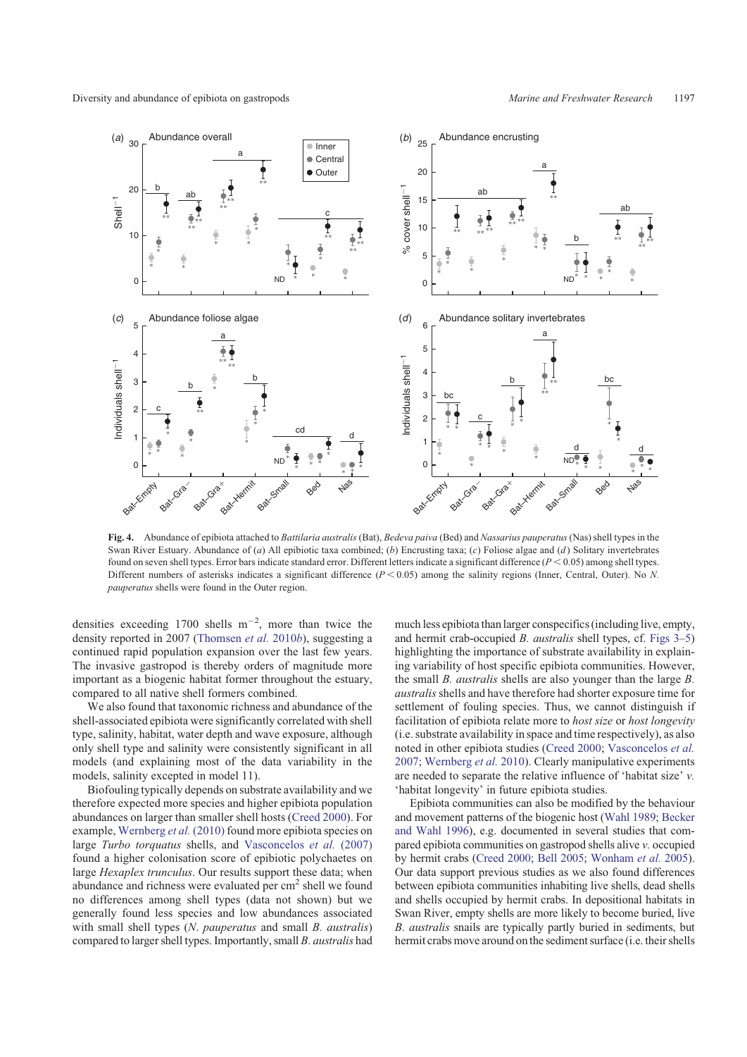<span id="page-6-0"></span>Diversity and abundance of epibiota on gastropods *Marine and Freshwater Research* 1197



**Fig. 4.** Abundance of epibiota attached to *Battilaria australis* (Bat), *Bedeva paiva* (Bed) and *Nassarius pauperatus*(Nas) shell types in the Swan River Estuary. Abundance of (*a*) All epibiotic taxa combined; (*b*) Encrusting taxa; (*c*) Foliose algae and (*d*) Solitary invertebrates found on seven shell types. Error bars indicate standard error. Different letters indicate a significant difference  $(P < 0.05)$  among shell types. Different numbers of asterisks indicates a significant difference  $(P < 0.05)$  among the salinity regions (Inner, Central, Outer). No *N*. *pauperatus* shells were found in the Outer region.

densities exceeding 1700 shells  $m^{-2}$ , more than twice the density reported in 2007 [\(Thomsen](#page-9-0) *et al.* 2010*b*), suggesting a continued rapid population expansion over the last few years. The invasive gastropod is thereby orders of magnitude more important as a biogenic habitat former throughout the estuary, compared to all native shell formers combined.

We also found that taxonomic richness and abundance of the shell-associated epibiota were significantly correlated with shell type, salinity, habitat, water depth and wave exposure, although only shell type and salinity were consistently significant in all models (and explaining most of the data variability in the models, salinity excepted in model 11).

Biofouling typically depends on substrate availability and we therefore expected more species and higher epibiota population abundances on larger than smaller shell hosts ([Creed 2000](#page-9-0)). For example, [Wernberg](#page-9-0) *et al.* (2010) found more epibiota species on large *Turbo torquatus* shells, and [Vasconcelos](#page-9-0) *et al.* (2007) found a higher colonisation score of epibiotic polychaetes on large *Hexaplex trunculus*. Our results support these data; when abundance and richness were evaluated per  $cm<sup>2</sup>$  shell we found no differences among shell types (data not shown) but we generally found less species and low abundances associated with small shell types (*N*. *pauperatus* and small *B. australis*) compared to larger shell types. Importantly, small *B. australis* had much less epibiota than larger conspecifics (including live, empty, and hermit crab-occupied *B. australis* shell types, cf. [Figs 3–](#page-5-0)[5\)](#page-7-0) highlighting the importance of substrate availability in explaining variability of host specific epibiota communities. However, the small *B. australis* shells are also younger than the large *B. australis*shells and have therefore had shorter exposure time for settlement of fouling species. Thus, we cannot distinguish if facilitation of epibiota relate more to *host size* or *host longevity* (i.e. substrate availability in space and time respectively), as also noted in other epibiota studies [\(Creed 2000](#page-9-0); [Vasconcelos](#page-9-0) *et al.* [2007;](#page-9-0) [Wernberg](#page-9-0) *et al.* 2010). Clearly manipulative experiments are needed to separate the relative influence of 'habitat size' *v.* 'habitat longevity' in future epibiota studies.

Epibiota communities can also be modified by the behaviour and movement patterns of the biogenic host ([Wahl 1989;](#page-9-0) [Becker](#page-8-0) [and Wahl 1996\)](#page-8-0), e.g. documented in several studies that compared epibiota communities on gastropod shells alive *v.* occupied by hermit crabs ([Creed 2000](#page-9-0); [Bell 2005;](#page-8-0) [Wonham](#page-9-0) *et al.* 2005). Our data support previous studies as we also found differences between epibiota communities inhabiting live shells, dead shells and shells occupied by hermit crabs. In depositional habitats in Swan River, empty shells are more likely to become buried, live *B. australis* snails are typically partly buried in sediments, but hermit crabs move around on the sediment surface (i.e. their shells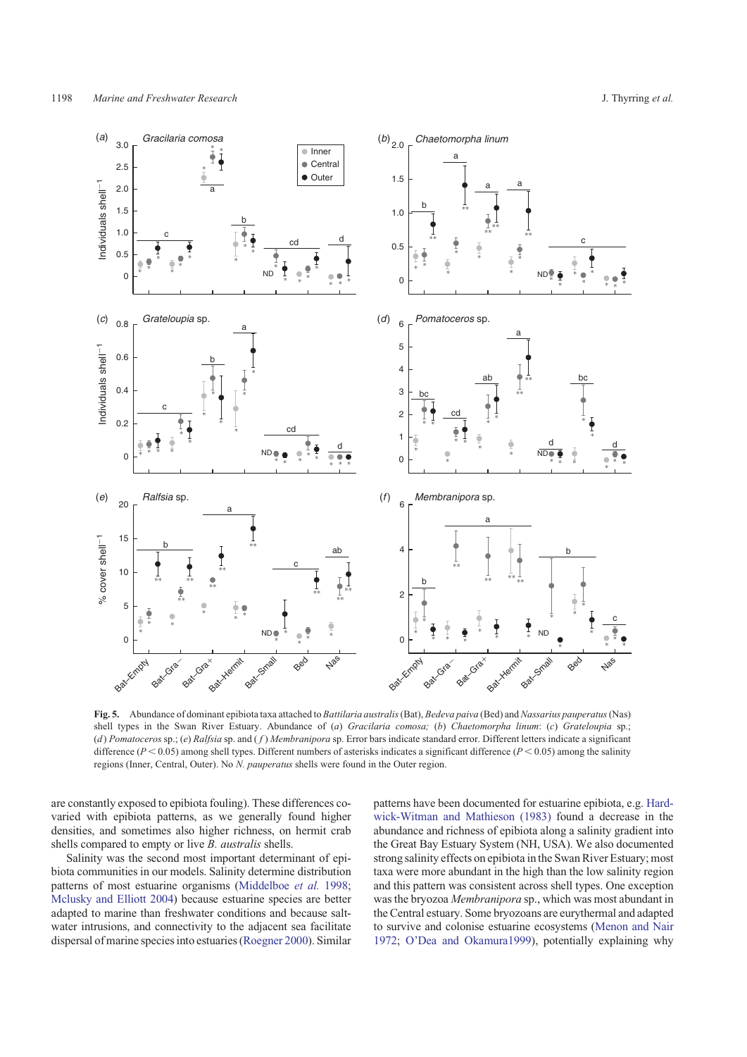<span id="page-7-0"></span>

**Fig. 5.** Abundance of dominant epibiota taxa attached to *Battilaria australis*(Bat), *Bedeva paiva* (Bed) and *Nassarius pauperatus*(Nas) shell types in the Swan River Estuary. Abundance of (*a*) *Gracilaria comosa;* (*b*) *Chaetomorpha linum*: (*c*) *Grateloupia* sp.; (*d* ) *Pomatoceros* sp.; (*e*) *Ralfsia* sp. and ( *f* ) *Membranipora* sp. Error bars indicate standard error. Different letters indicate a significant difference ( $P < 0.05$ ) among shell types. Different numbers of asterisks indicates a significant difference ( $P < 0.05$ ) among the salinity regions (Inner, Central, Outer). No *N. pauperatus* shells were found in the Outer region.

are constantly exposed to epibiota fouling). These differences covaried with epibiota patterns, as we generally found higher densities, and sometimes also higher richness, on hermit crab shells compared to empty or live *B. australis* shells.

Salinity was the second most important determinant of epibiota communities in our models. Salinity determine distribution patterns of most estuarine organisms [\(Middelboe](#page-9-0) *et al.* 1998; [Mclusky and Elliott 2004](#page-9-0)) because estuarine species are better adapted to marine than freshwater conditions and because saltwater intrusions, and connectivity to the adjacent sea facilitate dispersal of marine species into estuaries ([Roegner 2000\)](#page-9-0). Similar

patterns have been documented for estuarine epibiota, e.g. [Hard](#page-9-0)[wick-Witman and Mathieson \(1983\)](#page-9-0) found a decrease in the abundance and richness of epibiota along a salinity gradient into the Great Bay Estuary System (NH, USA). We also documented strong salinity effects on epibiota in the Swan River Estuary; most taxa were more abundant in the high than the low salinity region and this pattern was consistent across shell types. One exception was the bryozoa *Membranipora* sp., which was most abundant in the Central estuary. Some bryozoans are eurythermal and adapted to survive and colonise estuarine ecosystems [\(Menon and Nair](#page-9-0) [1972](#page-9-0); [O'Dea and Okamura1999\)](#page-9-0), potentially explaining why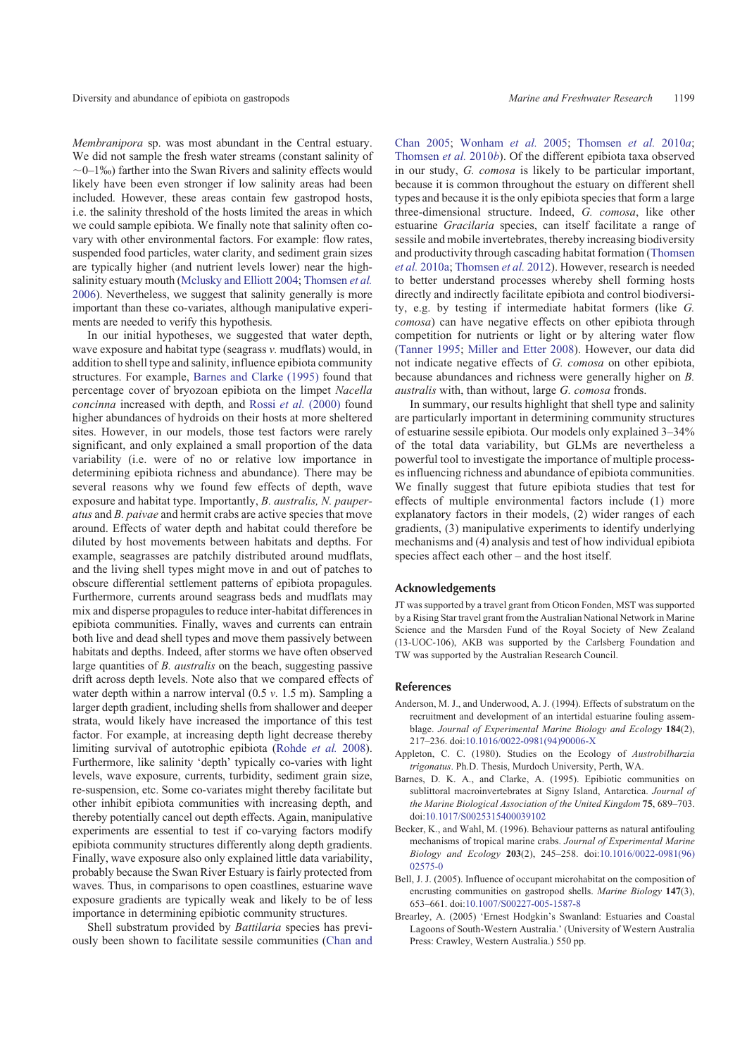<span id="page-8-0"></span>*Membranipora* sp. was most abundant in the Central estuary. We did not sample the fresh water streams (constant salinity of  $\sim$ 0–1‰) farther into the Swan Rivers and salinity effects would likely have been even stronger if low salinity areas had been included. However, these areas contain few gastropod hosts, i.e. the salinity threshold of the hosts limited the areas in which we could sample epibiota. We finally note that salinity often covary with other environmental factors. For example: flow rates, suspended food particles, water clarity, and sediment grain sizes are typically higher (and nutrient levels lower) near the highsalinity estuary mouth [\(Mclusky and Elliott 2004;](#page-9-0) [Thomsen](#page-9-0) *et al.* [2006](#page-9-0)). Nevertheless, we suggest that salinity generally is more important than these co-variates, although manipulative experiments are needed to verify this hypothesis.

In our initial hypotheses, we suggested that water depth, wave exposure and habitat type (seagrass *v.* mudflats) would, in addition to shell type and salinity, influence epibiota community structures. For example, Barnes and Clarke (1995) found that percentage cover of bryozoan epibiota on the limpet *Nacella concinna* increased with depth, and Rossi *et al.* [\(2000\)](#page-9-0) found higher abundances of hydroids on their hosts at more sheltered sites. However, in our models, those test factors were rarely significant, and only explained a small proportion of the data variability (i.e. were of no or relative low importance in determining epibiota richness and abundance). There may be several reasons why we found few effects of depth, wave exposure and habitat type. Importantly, *B. australis, N. pauperatus* and *B. paivae* and hermit crabs are active species that move around. Effects of water depth and habitat could therefore be diluted by host movements between habitats and depths. For example, seagrasses are patchily distributed around mudflats, and the living shell types might move in and out of patches to obscure differential settlement patterns of epibiota propagules. Furthermore, currents around seagrass beds and mudflats may mix and disperse propagules to reduce inter-habitat differences in epibiota communities. Finally, waves and currents can entrain both live and dead shell types and move them passively between habitats and depths. Indeed, after storms we have often observed large quantities of *B. australis* on the beach, suggesting passive drift across depth levels. Note also that we compared effects of water depth within a narrow interval (0.5 *v.* 1.5 m). Sampling a larger depth gradient, including shells from shallower and deeper strata, would likely have increased the importance of this test factor. For example, at increasing depth light decrease thereby limiting survival of autotrophic epibiota [\(Rohde](#page-9-0) *et al.* 2008). Furthermore, like salinity 'depth' typically co-varies with light levels, wave exposure, currents, turbidity, sediment grain size, re-suspension, etc. Some co-variates might thereby facilitate but other inhibit epibiota communities with increasing depth, and thereby potentially cancel out depth effects. Again, manipulative experiments are essential to test if co-varying factors modify epibiota community structures differently along depth gradients. Finally, wave exposure also only explained little data variability, probably because the Swan River Estuary is fairly protected from waves. Thus, in comparisons to open coastlines, estuarine wave exposure gradients are typically weak and likely to be of less importance in determining epibiotic community structures.

Shell substratum provided by *Battilaria* species has previously been shown to facilitate sessile communities [\(Chan and](#page-9-0) [Chan 2005;](#page-9-0) [Wonham](#page-9-0) *et al.* 2005; [Thomsen](#page-9-0) *et al.* 2010*a*; [Thomsen](#page-9-0) *et al.* 2010*b*). Of the different epibiota taxa observed in our study, *G. comosa* is likely to be particular important, because it is common throughout the estuary on different shell types and because it is the only epibiota species that form a large three-dimensional structure. Indeed, *G. comosa*, like other estuarine *Gracilaria* species, can itself facilitate a range of sessile and mobile invertebrates, thereby increasing biodiversity and productivity through cascading habitat formation ([Thomsen](#page-9-0) *et al.* [2010a](#page-9-0); [Thomsen](#page-9-0) *et al.* 2012). However, research is needed to better understand processes whereby shell forming hosts directly and indirectly facilitate epibiota and control biodiversity, e.g. by testing if intermediate habitat formers (like *G. comosa*) can have negative effects on other epibiota through competition for nutrients or light or by altering water flow ([Tanner 1995](#page-9-0); [Miller and Etter 2008\)](#page-9-0). However, our data did not indicate negative effects of *G. comosa* on other epibiota, because abundances and richness were generally higher on *B. australis* with, than without, large *G. comosa* fronds.

In summary, our results highlight that shell type and salinity are particularly important in determining community structures of estuarine sessile epibiota. Our models only explained 3–34% of the total data variability, but GLMs are nevertheless a powerful tool to investigate the importance of multiple processes influencing richness and abundance of epibiota communities. We finally suggest that future epibiota studies that test for effects of multiple environmental factors include (1) more explanatory factors in their models, (2) wider ranges of each gradients, (3) manipulative experiments to identify underlying mechanisms and (4) analysis and test of how individual epibiota species affect each other – and the host itself.

#### Acknowledgements

JT was supported by a travel grant from Oticon Fonden, MST was supported by a Rising Star travel grant from the Australian National Network in Marine Science and the Marsden Fund of the Royal Society of New Zealand (13-UOC-106), AKB was supported by the Carlsberg Foundation and TW was supported by the Australian Research Council.

## References

- Anderson, M. J., and Underwood, A. J. (1994). Effects of substratum on the recruitment and development of an intertidal estuarine fouling assemblage. *Journal of Experimental Marine Biology and Ecology* **184**(2), 217–236. doi[:10.1016/0022-0981\(94\)90006-X](http://dx.doi.org/10.1016/0022-0981(94)90006-X)
- Appleton, C. C. (1980). Studies on the Ecology of *Austrobilharzia trigonatus*. Ph.D. Thesis, Murdoch University, Perth, WA.
- Barnes, D. K. A., and Clarke, A. (1995). Epibiotic communities on sublittoral macroinvertebrates at Signy Island, Antarctica. *Journal of the Marine Biological Association of the United Kingdom* **75**, 689–703. doi[:10.1017/S0025315400039102](http://dx.doi.org/10.1017/S0025315400039102)
- Becker, K., and Wahl, M. (1996). Behaviour patterns as natural antifouling mechanisms of tropical marine crabs. *Journal of Experimental Marine Biology and Ecology* **203**(2), 245–258. doi[:10.1016/0022-0981\(96\)](http://dx.doi.org/10.1016/0022-0981(96)02575-0) [02575-0](http://dx.doi.org/10.1016/0022-0981(96)02575-0)
- Bell, J. J. (2005). Influence of occupant microhabitat on the composition of encrusting communities on gastropod shells. *Marine Biology* **147**(3), 653–661. doi[:10.1007/S00227-005-1587-8](http://dx.doi.org/10.1007/S00227-005-1587-8)
- Brearley, A. (2005) 'Ernest Hodgkin's Swanland: Estuaries and Coastal Lagoons of South-Western Australia.' (University of Western Australia Press: Crawley, Western Australia.) 550 pp.